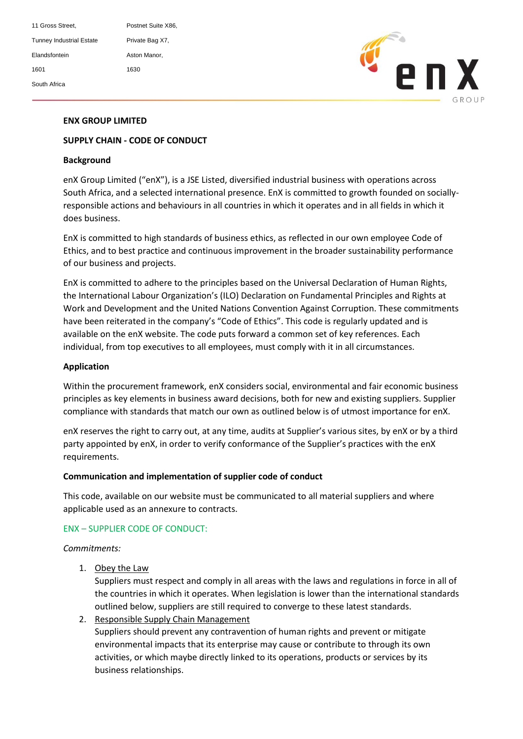11 Gross Street. Postnet Suite X86, Tunney Industrial Estate Private Bag X7, Elandsfontein **Aston Manor**, 1601 1630 South Africa



# **ENX GROUP LIMITED**

## **SUPPLY CHAIN - CODE OF CONDUCT**

#### **Background**

enX Group Limited ("enX"), is a JSE Listed, diversified industrial business with operations across South Africa, and a selected international presence. EnX is committed to growth founded on sociallyresponsible actions and behaviours in all countries in which it operates and in all fields in which it does business.

EnX is committed to high standards of business ethics, as reflected in our own employee Code of Ethics, and to best practice and continuous improvement in the broader sustainability performance of our business and projects.

EnX is committed to adhere to the principles based on the Universal Declaration of Human Rights, the International Labour Organization's (ILO) Declaration on Fundamental Principles and Rights at Work and Development and the United Nations Convention Against Corruption. These commitments have been reiterated in the company's "Code of Ethics". This code is regularly updated and is available on the enX website. The code puts forward a common set of key references. Each individual, from top executives to all employees, must comply with it in all circumstances.

#### **Application**

Within the procurement framework, enX considers social, environmental and fair economic business principles as key elements in business award decisions, both for new and existing suppliers. Supplier compliance with standards that match our own as outlined below is of utmost importance for enX.

enX reserves the right to carry out, at any time, audits at Supplier's various sites, by enX or by a third party appointed by enX, in order to verify conformance of the Supplier's practices with the enX requirements.

#### **Communication and implementation of supplier code of conduct**

This code, available on our website must be communicated to all material suppliers and where applicable used as an annexure to contracts.

### ENX – SUPPLIER CODE OF CONDUCT:

### *Commitments:*

1. Obey the Law

Suppliers must respect and comply in all areas with the laws and regulations in force in all of the countries in which it operates. When legislation is lower than the international standards outlined below, suppliers are still required to converge to these latest standards.

2. Responsible Supply Chain Management Suppliers should prevent any contravention of human rights and prevent or mitigate environmental impacts that its enterprise may cause or contribute to through its own activities, or which maybe directly linked to its operations, products or services by its business relationships.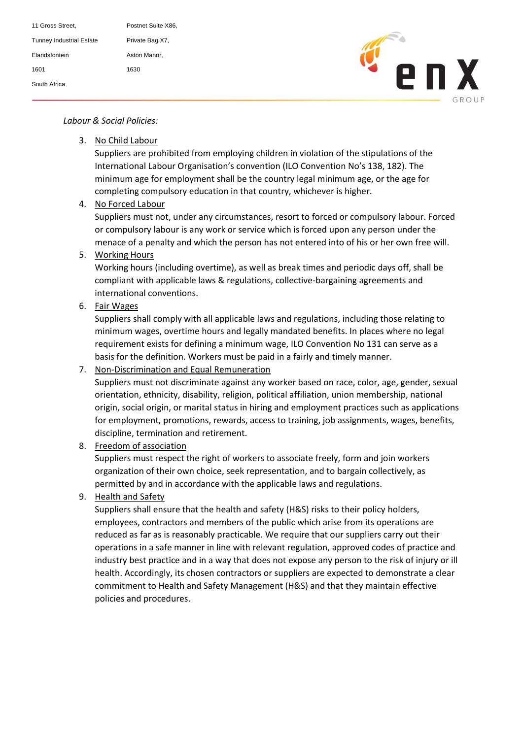| 11 Gross Street,                | Postnet Suite X86, |
|---------------------------------|--------------------|
| <b>Tunney Industrial Estate</b> | Private Bag X7,    |
| <b>Flandsfontein</b>            | Aston Manor.       |
| 1601                            | 1630               |
| South Africa                    |                    |



# Tel: (+27) 11 966 2000 *Labour & Social Policies:*

3. No Child Labour

Suppliers are prohibited from employing children in violation of the stipulations of the International Labour Organisation's convention (ILO Convention No's 138, 182). The minimum age for employment shall be the country legal minimum age, or the age for completing compulsory education in that country, whichever is higher.

4. No Forced Labour

Suppliers must not, under any circumstances, resort to forced or compulsory labour. Forced or compulsory labour is any work or service which is forced upon any person under the menace of a penalty and which the person has not entered into of his or her own free will.

5. Working Hours

Working hours (including overtime), as well as break times and periodic days off, shall be compliant with applicable laws & regulations, collective-bargaining agreements and international conventions.

6. Fair Wages

Suppliers shall comply with all applicable laws and regulations, including those relating to minimum wages, overtime hours and legally mandated benefits. In places where no legal requirement exists for defining a minimum wage, ILO Convention No 131 can serve as a basis for the definition. Workers must be paid in a fairly and timely manner.

7. Non-Discrimination and Equal Remuneration

Suppliers must not discriminate against any worker based on race, color, age, gender, sexual orientation, ethnicity, disability, religion, political affiliation, union membership, national origin, social origin, or marital status in hiring and employment practices such as applications for employment, promotions, rewards, access to training, job assignments, wages, benefits, discipline, termination and retirement.

8. Freedom of association

Suppliers must respect the right of workers to associate freely, form and join workers organization of their own choice, seek representation, and to bargain collectively, as permitted by and in accordance with the applicable laws and regulations.

9. Health and Safety

Suppliers shall ensure that the health and safety (H&S) risks to their policy holders, employees, contractors and members of the public which arise from its operations are reduced as far as is reasonably practicable. We require that our suppliers carry out their operations in a safe manner in line with relevant regulation, approved codes of practice and industry best practice and in a way that does not expose any person to the risk of injury or ill health. Accordingly, its chosen contractors or suppliers are expected to demonstrate a clear commitment to Health and Safety Management (H&S) and that they maintain effective policies and procedures.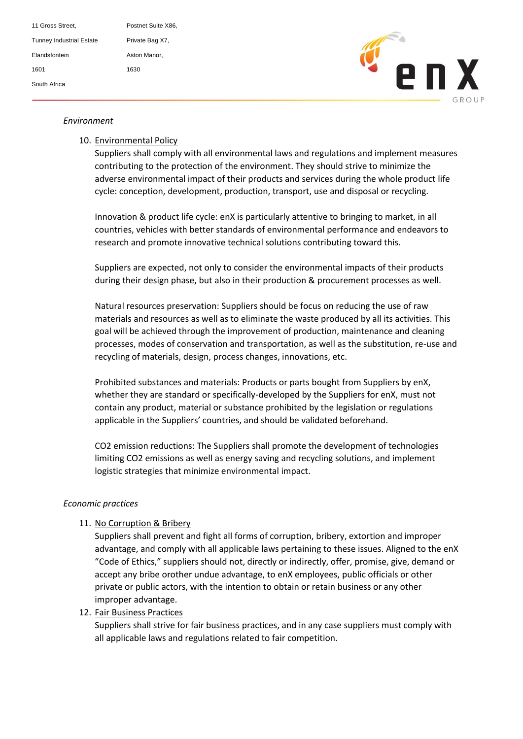11 Gross Street. Postnet Suite X86, Tunney Industrial Estate Private Bag X7, Elandsfontein **Aston Manor**, 1601 1630 South Africa



# Environment

### 10. Environmental Policy

Suppliers shall comply with all environmental laws and regulations and implement measures contributing to the protection of the environment. They should strive to minimize the adverse environmental impact of their products and services during the whole product life cycle: conception, development, production, transport, use and disposal or recycling.

Innovation & product life cycle: enX is particularly attentive to bringing to market, in all countries, vehicles with better standards of environmental performance and endeavors to research and promote innovative technical solutions contributing toward this.

Suppliers are expected, not only to consider the environmental impacts of their products during their design phase, but also in their production & procurement processes as well.

Natural resources preservation: Suppliers should be focus on reducing the use of raw materials and resources as well as to eliminate the waste produced by all its activities. This goal will be achieved through the improvement of production, maintenance and cleaning processes, modes of conservation and transportation, as well as the substitution, re-use and recycling of materials, design, process changes, innovations, etc.

Prohibited substances and materials: Products or parts bought from Suppliers by enX, whether they are standard or specifically-developed by the Suppliers for enX, must not contain any product, material or substance prohibited by the legislation or regulations applicable in the Suppliers' countries, and should be validated beforehand.

CO2 emission reductions: The Suppliers shall promote the development of technologies limiting CO2 emissions as well as energy saving and recycling solutions, and implement logistic strategies that minimize environmental impact.

### *Economic practices*

## 11. No Corruption & Bribery

Suppliers shall prevent and fight all forms of corruption, bribery, extortion and improper advantage, and comply with all applicable laws pertaining to these issues. Aligned to the enX "Code of Ethics," suppliers should not, directly or indirectly, offer, promise, give, demand or accept any bribe orother undue advantage, to enX employees, public officials or other private or public actors, with the intention to obtain or retain business or any other improper advantage.

### 12. Fair Business Practices

Suppliers shall strive for fair business practices, and in any case suppliers must comply with all applicable laws and regulations related to fair competition.